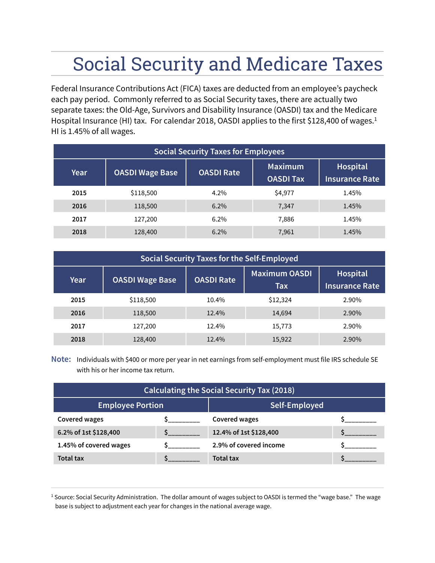## Social Security and Medicare Taxes

Federal Insurance Contributions Act (FICA) taxes are deducted from an employee's paycheck each pay period. Commonly referred to as Social Security taxes, there are actually two separate taxes: the Old-Age, Survivors and Disability Insurance (OASDI) tax and the Medicare Hospital Insurance (HI) tax. For calendar 2018, OASDI applies to the first \$128,400 of wages.<sup>1</sup> HI is 1.45% of all wages.

| <b>Social Security Taxes for Employees</b> |                        |                   |                                    |                                   |  |  |  |  |
|--------------------------------------------|------------------------|-------------------|------------------------------------|-----------------------------------|--|--|--|--|
| Year                                       | <b>OASDI Wage Base</b> | <b>OASDI Rate</b> | <b>Maximum</b><br><b>OASDI Tax</b> | Hospital<br><b>Insurance Rate</b> |  |  |  |  |
| 2015                                       | \$118,500              | 4.2%              | \$4,977                            | 1.45%                             |  |  |  |  |
| 2016                                       | 118,500                | $6.2\%$           | 7,347                              | 1.45%                             |  |  |  |  |
| 2017                                       | 127,200                | $6.2\%$           | 7,886                              | 1.45%                             |  |  |  |  |
| 2018                                       | 128,400                | $6.2\%$           | 7,961                              | 1.45%                             |  |  |  |  |

| Social Security Taxes for the Self-Employed |                        |                   |                                    |                                   |  |  |  |  |
|---------------------------------------------|------------------------|-------------------|------------------------------------|-----------------------------------|--|--|--|--|
| Year                                        | <b>OASDI Wage Base</b> | <b>OASDI Rate</b> | <b>Maximum OASDI</b><br><b>Tax</b> | Hospital<br><b>Insurance Rate</b> |  |  |  |  |
| 2015                                        | \$118,500              | 10.4%             | \$12,324                           | 2.90%                             |  |  |  |  |
| 2016                                        | 118,500                | 12.4%             | 14,694                             | 2.90%                             |  |  |  |  |
| 2017                                        | 127,200                | 12.4%             | 15,773                             | 2.90%                             |  |  |  |  |
| 2018                                        | 128,400                | 12.4%             | 15,922                             | 2.90%                             |  |  |  |  |

**Note:** Individuals with \$400 or more per year in net earnings from self-employment must file IRS schedule SE with his or her income tax return.

| <b>Calculating the Social Security Tax (2018)</b> |  |                        |  |  |  |  |  |  |
|---------------------------------------------------|--|------------------------|--|--|--|--|--|--|
| <b>Employee Portion</b>                           |  | Self-Employed          |  |  |  |  |  |  |
| Covered wages                                     |  | Covered wages          |  |  |  |  |  |  |
| 6.2% of 1st \$128,400                             |  | 12.4% of 1st \$128,400 |  |  |  |  |  |  |
| 1.45% of covered wages                            |  | 2.9% of covered income |  |  |  |  |  |  |
| <b>Total tax</b>                                  |  | <b>Total tax</b>       |  |  |  |  |  |  |

<sup>1</sup> Source: Social Security Administration. The dollar amount of wages subject to OASDI is termed the "wage base." The wage base is subject to adjustment each year for changes in the national average wage.